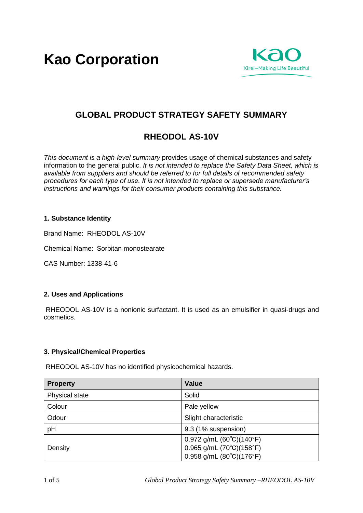**Kao Corporation**



# **GLOBAL PRODUCT STRATEGY SAFETY SUMMARY**

# **RHEODOL AS-10V**

*This document is a high-level summary* provides usage of chemical substances and safety information to the general public. *It is not intended to replace the Safety Data Sheet, which is available from suppliers and should be referred to for full details of recommended safety procedures for each type of use. It is not intended to replace or supersede manufacturer's instructions and warnings for their consumer products containing this substance.* 

# **1. Substance Identity**

Brand Name: RHEODOL AS-10V

Chemical Name: Sorbitan monostearate

CAS Number: 1338-41-6

#### **2. Uses and Applications**

RHEODOL AS-10V is a nonionic surfactant. It is used as an emulsifier in quasi-drugs and cosmetics.

#### **3. Physical/Chemical Properties**

RHEODOL AS-10V has no identified physicochemical hazards.

| <b>Property</b> | <b>Value</b>                               |
|-----------------|--------------------------------------------|
| Physical state  | Solid                                      |
| Colour          | Pale yellow                                |
| Odour           | Slight characteristic                      |
| pH              | 9.3 (1% suspension)                        |
|                 | $0.972$ g/mL $(60^{\circ}C)(140^{\circ}F)$ |
| Density         | 0.965 g/mL (70°C)(158°F)                   |
|                 | $0.958$ g/mL $(80^{\circ}C)(176^{\circ}F)$ |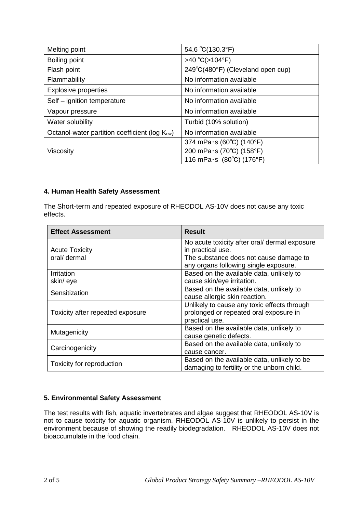| Melting point                                              | 54.6 °C(130.3°F)                  |
|------------------------------------------------------------|-----------------------------------|
| Boiling point                                              | >40 °C(>104°F)                    |
| Flash point                                                | 249°C(480°F) (Cleveland open cup) |
| Flammability                                               | No information available          |
| <b>Explosive properties</b>                                | No information available          |
| Self - ignition temperature                                | No information available          |
| Vapour pressure                                            | No information available          |
| Water solubility                                           | Turbid (10% solution)             |
| Octanol-water partition coefficient (log K <sub>ow</sub> ) | No information available          |
|                                                            | 374 mPa $\cdot$ s (60°C) (140°F)  |
| Viscosity                                                  | 200 mPa·s (70°C) (158°F)          |
|                                                            | 116 mPa $\cdot$ s (80°C) (176°F)  |

# **4. Human Health Safety Assessment**

The Short-term and repeated exposure of RHEODOL AS-10V does not cause any toxic effects.

| <b>Effect Assessment</b>         | <b>Result</b>                                 |
|----------------------------------|-----------------------------------------------|
|                                  | No acute toxicity after oral/ dermal exposure |
| <b>Acute Toxicity</b>            | in practical use.                             |
| oral/ dermal                     | The substance does not cause damage to        |
|                                  | any organs following single exposure.         |
| <b>Irritation</b>                | Based on the available data, unlikely to      |
| skin/eye                         | cause skin/eye irritation.                    |
|                                  | Based on the available data, unlikely to      |
| Sensitization                    | cause allergic skin reaction.                 |
|                                  | Unlikely to cause any toxic effects through   |
| Toxicity after repeated exposure | prolonged or repeated oral exposure in        |
|                                  | practical use.                                |
| Mutagenicity                     | Based on the available data, unlikely to      |
|                                  | cause genetic defects.                        |
| Carcinogenicity                  | Based on the available data, unlikely to      |
|                                  | cause cancer.                                 |
|                                  | Based on the available data, unlikely to be   |
| Toxicity for reproduction        | damaging to fertility or the unborn child.    |

# **5. Environmental Safety Assessment**

The test results with fish, aquatic invertebrates and algae suggest that RHEODOL AS-10V is not to cause toxicity for aquatic organism. RHEODOL AS-10V is unlikely to persist in the environment because of showing the readily biodegradation. RHEODOL AS-10V does not bioaccumulate in the food chain.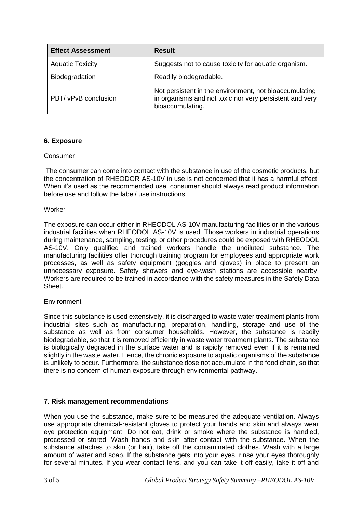| <b>Effect Assessment</b> | <b>Result</b>                                                                                                                         |
|--------------------------|---------------------------------------------------------------------------------------------------------------------------------------|
| <b>Aquatic Toxicity</b>  | Suggests not to cause toxicity for aquatic organism.                                                                                  |
| Biodegradation           | Readily biodegradable.                                                                                                                |
| PBT/ vPvB conclusion     | Not persistent in the environment, not bioaccumulating<br>in organisms and not toxic nor very persistent and very<br>bioaccumulating. |

# **6. Exposure**

#### **Consumer**

The consumer can come into contact with the substance in use of the cosmetic products, but the concentration of RHEODOR AS-10V in use is not concerned that it has a harmful effect. When it's used as the recommended use, consumer should always read product information before use and follow the label/ use instructions.

#### Worker

The exposure can occur either in RHEODOL AS-10V manufacturing facilities or in the various industrial facilities when RHEODOL AS-10V is used. Those workers in industrial operations during maintenance, sampling, testing, or other procedures could be exposed with RHEODOL AS-10V. Only qualified and trained workers handle the undiluted substance. The manufacturing facilities offer thorough training program for employees and appropriate work processes, as well as safety equipment (goggles and gloves) in place to present an unnecessary exposure. Safety showers and eye-wash stations are accessible nearby. Workers are required to be trained in accordance with the safety measures in the Safety Data Sheet.

#### Environment

Since this substance is used extensively, it is discharged to waste water treatment plants from industrial sites such as manufacturing, preparation, handling, storage and use of the substance as well as from consumer households. However, the substance is readily biodegradable, so that it is removed efficiently in waste water treatment plants. The substance is biologically degraded in the surface water and is rapidly removed even if it is remained slightly in the waste water. Hence, the chronic exposure to aquatic organisms of the substance is unlikely to occur. Furthermore, the substance dose not accumulate in the food chain, so that there is no concern of human exposure through environmental pathway.

#### **7. Risk management recommendations**

When you use the substance, make sure to be measured the adequate ventilation. Always use appropriate chemical-resistant gloves to protect your hands and skin and always wear eye protection equipment. Do not eat, drink or smoke where the substance is handled, processed or stored. Wash hands and skin after contact with the substance. When the substance attaches to skin (or hair), take off the contaminated clothes. Wash with a large amount of water and soap. If the substance gets into your eyes, rinse your eyes thoroughly for several minutes. If you wear contact lens, and you can take it off easily, take it off and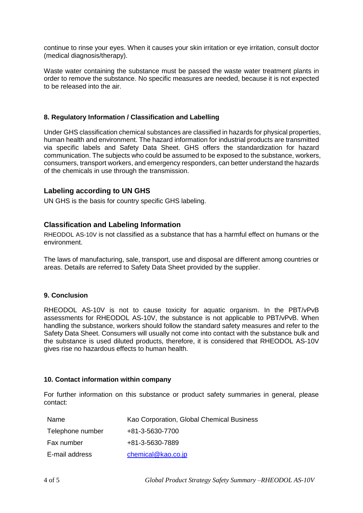continue to rinse your eyes. When it causes your skin irritation or eye irritation, consult doctor (medical diagnosis/therapy).

Waste water containing the substance must be passed the waste water treatment plants in order to remove the substance. No specific measures are needed, because it is not expected to be released into the air.

#### **8. Regulatory Information / Classification and Labelling**

Under GHS classification chemical substances are classified in hazards for physical properties, human health and environment. The hazard information for industrial products are transmitted via specific labels and Safety Data Sheet. GHS offers the standardization for hazard communication. The subjects who could be assumed to be exposed to the substance, workers, consumers, transport workers, and emergency responders, can better understand the hazards of the chemicals in use through the transmission.

#### **Labeling according to UN GHS**

UN GHS is the basis for country specific GHS labeling.

# **Classification and Labeling Information**

RHEODOL AS-10V is not classified as a substance that has a harmful effect on humans or the environment.

The laws of manufacturing, sale, transport, use and disposal are different among countries or areas. Details are referred to Safety Data Sheet provided by the supplier.

#### **9. Conclusion**

RHEODOL AS-10V is not to cause toxicity for aquatic organism. In the PBT/vPvB assessments for RHEODOL AS-10V, the substance is not applicable to PBT/vPvB. When handling the substance, workers should follow the standard safety measures and refer to the Safety Data Sheet. Consumers will usually not come into contact with the substance bulk and the substance is used diluted products, therefore, it is considered that RHEODOL AS-10V gives rise no hazardous effects to human health.

#### **10. Contact information within company**

For further information on this substance or product safety summaries in general, please contact:

| Name             | Kao Corporation, Global Chemical Business |
|------------------|-------------------------------------------|
| Telephone number | +81-3-5630-7700                           |
| Fax number       | +81-3-5630-7889                           |
| E-mail address   | chemical@kao.co.jp                        |